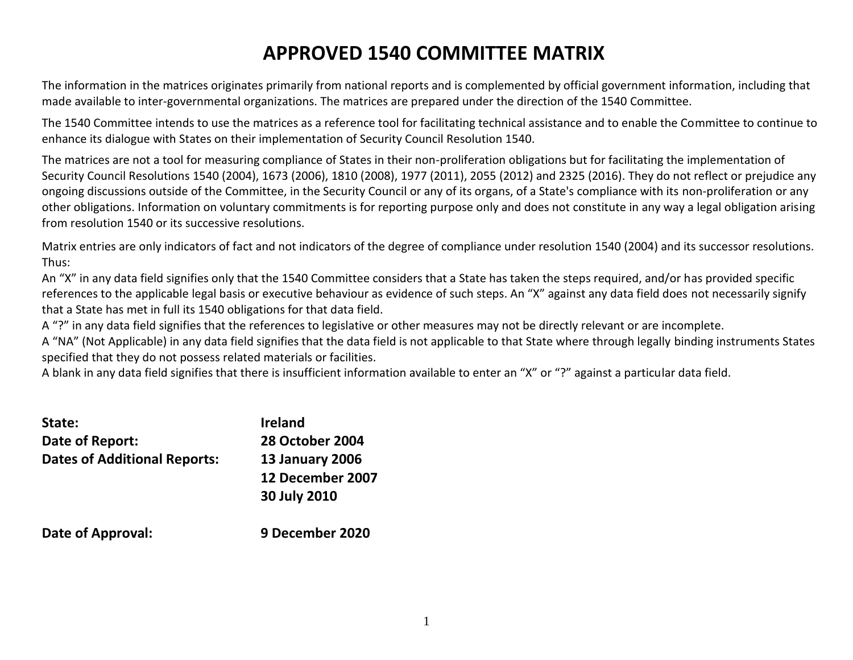# **APPROVED 1540 COMMITTEE MATRIX**

The information in the matrices originates primarily from national reports and is complemented by official government information, including that made available to inter-governmental organizations. The matrices are prepared under the direction of the 1540 Committee.

The 1540 Committee intends to use the matrices as a reference tool for facilitating technical assistance and to enable the Committee to continue to enhance its dialogue with States on their implementation of Security Council Resolution 1540.

The matrices are not a tool for measuring compliance of States in their non-proliferation obligations but for facilitating the implementation of Security Council Resolutions 1540 (2004), 1673 (2006), 1810 (2008), 1977 (2011), 2055 (2012) and 2325 (2016). They do not reflect or prejudice any ongoing discussions outside of the Committee, in the Security Council or any of its organs, of a State's compliance with its non-proliferation or any other obligations. Information on voluntary commitments is for reporting purpose only and does not constitute in any way a legal obligation arising from resolution 1540 or its successive resolutions.

Matrix entries are only indicators of fact and not indicators of the degree of compliance under resolution 1540 (2004) and its successor resolutions. Thus:

An "X" in any data field signifies only that the 1540 Committee considers that a State has taken the steps required, and/or has provided specific references to the applicable legal basis or executive behaviour as evidence of such steps. An "X" against any data field does not necessarily signify that a State has met in full its 1540 obligations for that data field.

A "?" in any data field signifies that the references to legislative or other measures may not be directly relevant or are incomplete.

A "NA" (Not Applicable) in any data field signifies that the data field is not applicable to that State where through legally binding instruments States specified that they do not possess related materials or facilities.

A blank in any data field signifies that there is insufficient information available to enter an "X" or "?" against a particular data field.

| State:                              | <b>Ireland</b>         |
|-------------------------------------|------------------------|
| Date of Report:                     | <b>28 October 2004</b> |
| <b>Dates of Additional Reports:</b> | <b>13 January 2006</b> |
|                                     | 12 December 2007       |
|                                     | 30 July 2010           |
| <b>Date of Approval:</b>            | 9 December 2020        |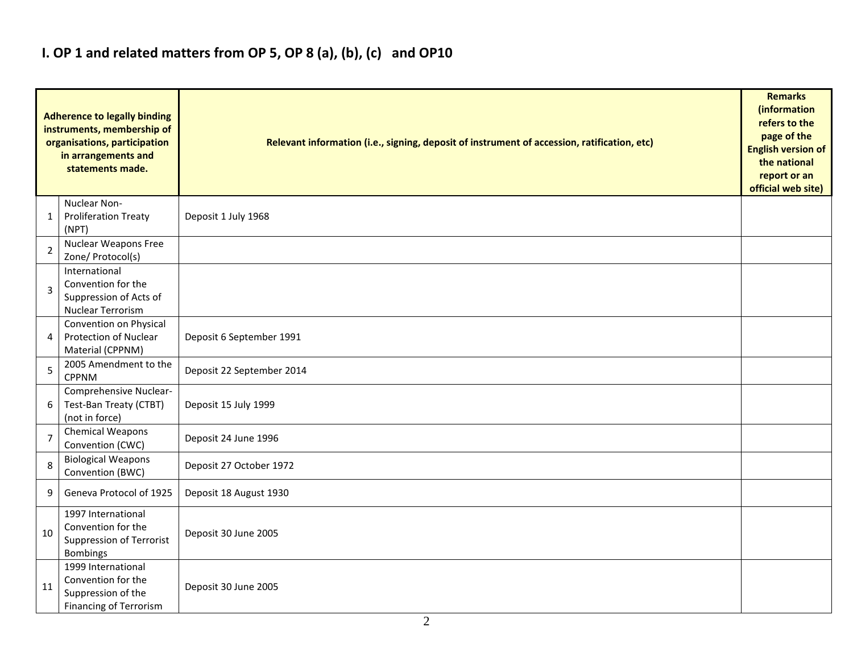## **I. OP 1 and related matters from OP 5, OP 8 (a), (b), (c) and OP10**

|                | <b>Adherence to legally binding</b><br>instruments, membership of<br>organisations, participation<br>in arrangements and<br>statements made. | Relevant information (i.e., signing, deposit of instrument of accession, ratification, etc) |  |  |  |  |  |  |  |
|----------------|----------------------------------------------------------------------------------------------------------------------------------------------|---------------------------------------------------------------------------------------------|--|--|--|--|--|--|--|
| 1              | Nuclear Non-<br><b>Proliferation Treaty</b><br>(NPT)                                                                                         | Deposit 1 July 1968                                                                         |  |  |  |  |  |  |  |
| $\overline{2}$ | Nuclear Weapons Free<br>Zone/ Protocol(s)                                                                                                    |                                                                                             |  |  |  |  |  |  |  |
| 3              | International<br>Convention for the<br>Suppression of Acts of<br>Nuclear Terrorism                                                           |                                                                                             |  |  |  |  |  |  |  |
| 4              | Convention on Physical<br>Protection of Nuclear<br>Material (CPPNM)                                                                          | Deposit 6 September 1991                                                                    |  |  |  |  |  |  |  |
| 5              | 2005 Amendment to the<br><b>CPPNM</b>                                                                                                        | Deposit 22 September 2014                                                                   |  |  |  |  |  |  |  |
| 6              | Comprehensive Nuclear-<br>Test-Ban Treaty (CTBT)<br>(not in force)                                                                           | Deposit 15 July 1999                                                                        |  |  |  |  |  |  |  |
| $\overline{7}$ | Chemical Weapons<br>Convention (CWC)                                                                                                         | Deposit 24 June 1996                                                                        |  |  |  |  |  |  |  |
| 8              | <b>Biological Weapons</b><br>Convention (BWC)                                                                                                | Deposit 27 October 1972                                                                     |  |  |  |  |  |  |  |
| 9              | Geneva Protocol of 1925                                                                                                                      | Deposit 18 August 1930                                                                      |  |  |  |  |  |  |  |
| 10             | 1997 International<br>Convention for the<br><b>Suppression of Terrorist</b><br>Bombings                                                      | Deposit 30 June 2005                                                                        |  |  |  |  |  |  |  |
| 11             | 1999 International<br>Convention for the<br>Suppression of the<br>Financing of Terrorism                                                     | Deposit 30 June 2005                                                                        |  |  |  |  |  |  |  |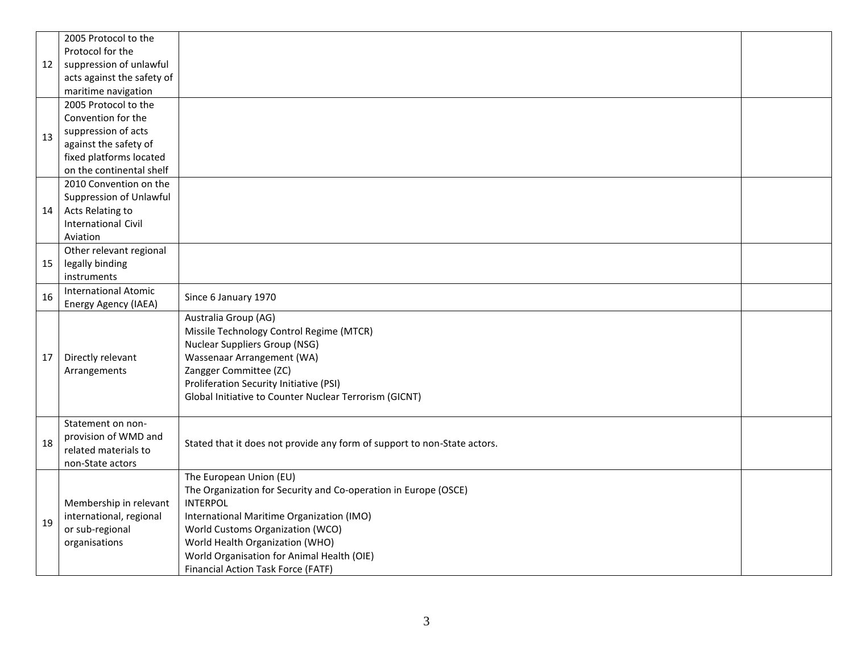| 12 | 2005 Protocol to the<br>Protocol for the<br>suppression of unlawful<br>acts against the safety of<br>maritime navigation                          |                                                                                                                                                                                                                                                                                                                       |  |
|----|---------------------------------------------------------------------------------------------------------------------------------------------------|-----------------------------------------------------------------------------------------------------------------------------------------------------------------------------------------------------------------------------------------------------------------------------------------------------------------------|--|
| 13 | 2005 Protocol to the<br>Convention for the<br>suppression of acts<br>against the safety of<br>fixed platforms located<br>on the continental shelf |                                                                                                                                                                                                                                                                                                                       |  |
| 14 | 2010 Convention on the<br>Suppression of Unlawful<br>Acts Relating to<br><b>International Civil</b><br>Aviation                                   |                                                                                                                                                                                                                                                                                                                       |  |
| 15 | Other relevant regional<br>legally binding<br>instruments                                                                                         |                                                                                                                                                                                                                                                                                                                       |  |
| 16 | <b>International Atomic</b><br>Energy Agency (IAEA)                                                                                               | Since 6 January 1970                                                                                                                                                                                                                                                                                                  |  |
| 17 | Directly relevant<br>Arrangements                                                                                                                 | Australia Group (AG)<br>Missile Technology Control Regime (MTCR)<br><b>Nuclear Suppliers Group (NSG)</b><br>Wassenaar Arrangement (WA)<br>Zangger Committee (ZC)<br>Proliferation Security Initiative (PSI)<br>Global Initiative to Counter Nuclear Terrorism (GICNT)                                                 |  |
| 18 | Statement on non-<br>provision of WMD and<br>related materials to<br>non-State actors                                                             | Stated that it does not provide any form of support to non-State actors.                                                                                                                                                                                                                                              |  |
| 19 | Membership in relevant<br>international, regional<br>or sub-regional<br>organisations                                                             | The European Union (EU)<br>The Organization for Security and Co-operation in Europe (OSCE)<br><b>INTERPOL</b><br>International Maritime Organization (IMO)<br>World Customs Organization (WCO)<br>World Health Organization (WHO)<br>World Organisation for Animal Health (OIE)<br>Financial Action Task Force (FATF) |  |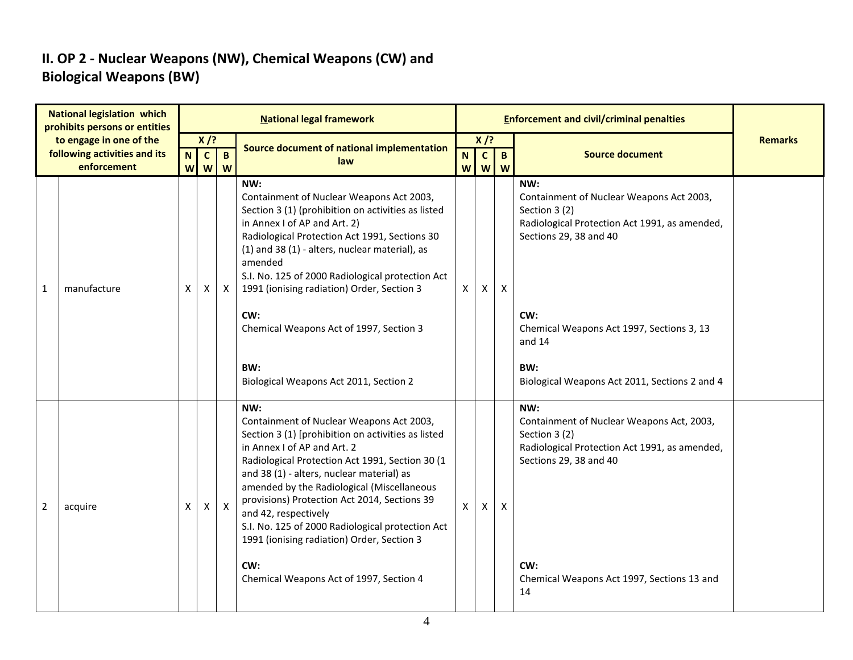### **II. OP 2 - Nuclear Weapons (NW), Chemical Weapons (CW) and Biological Weapons (BW)**

| <b>National legislation which</b><br>prohibits persons or entities |                                                                        |   |                             |                   | <b>National legal framework</b>                                                                                                                                                                                                                                                                                                                                                                                                                                                                                |        |                             |                   |                                                                                                                                                                                                                                                                   |                |
|--------------------------------------------------------------------|------------------------------------------------------------------------|---|-----------------------------|-------------------|----------------------------------------------------------------------------------------------------------------------------------------------------------------------------------------------------------------------------------------------------------------------------------------------------------------------------------------------------------------------------------------------------------------------------------------------------------------------------------------------------------------|--------|-----------------------------|-------------------|-------------------------------------------------------------------------------------------------------------------------------------------------------------------------------------------------------------------------------------------------------------------|----------------|
|                                                                    | to engage in one of the<br>following activities and its<br>enforcement |   | $X$ /?<br>$\mathbf{C}$<br>W | $\mathbf{B}$<br>W | Source document of national implementation<br>law                                                                                                                                                                                                                                                                                                                                                                                                                                                              | N<br>W | $X$ /?<br>$\mathbf{C}$<br>W | $\mathbf{B}$<br>W | <b>Source document</b>                                                                                                                                                                                                                                            | <b>Remarks</b> |
| $\mathbf{1}$                                                       | manufacture                                                            | X | X                           | X                 | NW:<br>Containment of Nuclear Weapons Act 2003,<br>Section 3 (1) (prohibition on activities as listed<br>in Annex I of AP and Art. 2)<br>Radiological Protection Act 1991, Sections 30<br>(1) and 38 (1) - alters, nuclear material), as<br>amended<br>S.I. No. 125 of 2000 Radiological protection Act<br>1991 (ionising radiation) Order, Section 3<br>CW:<br>Chemical Weapons Act of 1997, Section 3<br>BW:<br>Biological Weapons Act 2011, Section 2                                                       | X      | Χ                           | $\mathsf{X}$      | NW:<br>Containment of Nuclear Weapons Act 2003,<br>Section 3 (2)<br>Radiological Protection Act 1991, as amended,<br>Sections 29, 38 and 40<br>CW:<br>Chemical Weapons Act 1997, Sections 3, 13<br>and 14<br>BW:<br>Biological Weapons Act 2011, Sections 2 and 4 |                |
| $\overline{2}$                                                     | acquire                                                                | X | X                           | $\mathsf{X}$      | NW:<br>Containment of Nuclear Weapons Act 2003,<br>Section 3 (1) [prohibition on activities as listed<br>in Annex I of AP and Art. 2<br>Radiological Protection Act 1991, Section 30 (1<br>and 38 (1) - alters, nuclear material) as<br>amended by the Radiological (Miscellaneous<br>provisions) Protection Act 2014, Sections 39<br>and 42, respectively<br>S.I. No. 125 of 2000 Radiological protection Act<br>1991 (ionising radiation) Order, Section 3<br>CW:<br>Chemical Weapons Act of 1997, Section 4 | X      | X                           | X                 | NW:<br>Containment of Nuclear Weapons Act, 2003,<br>Section 3 (2)<br>Radiological Protection Act 1991, as amended,<br>Sections 29, 38 and 40<br>CW:<br>Chemical Weapons Act 1997, Sections 13 and<br>14                                                           |                |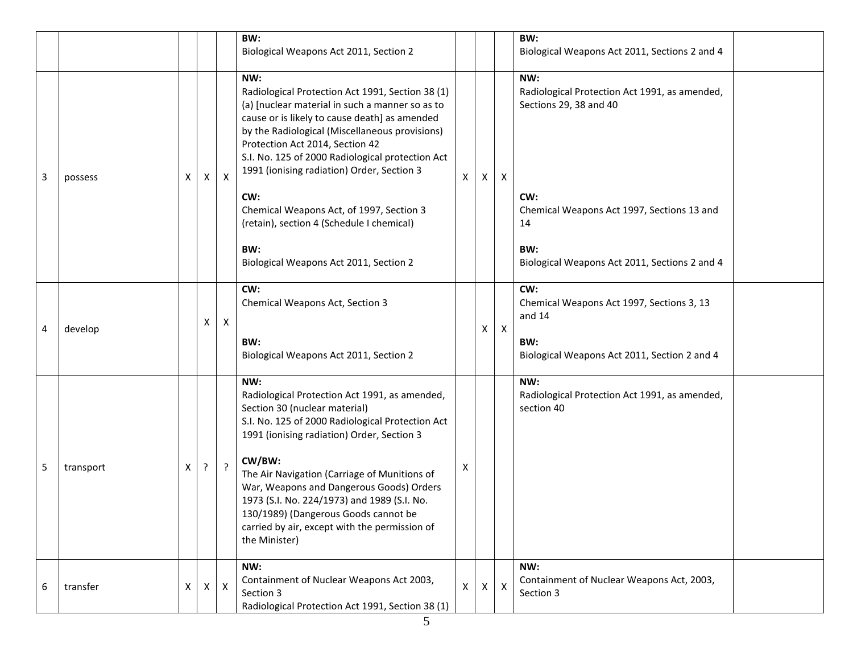|   |           |   |                |                           | BW:<br>Biological Weapons Act 2011, Section 2                                                                                                                                                                                                                                                                                                                                                                                                                                                       |                |              |                           | BW:<br>Biological Weapons Act 2011, Sections 2 and 4                                                                                                                                              |
|---|-----------|---|----------------|---------------------------|-----------------------------------------------------------------------------------------------------------------------------------------------------------------------------------------------------------------------------------------------------------------------------------------------------------------------------------------------------------------------------------------------------------------------------------------------------------------------------------------------------|----------------|--------------|---------------------------|---------------------------------------------------------------------------------------------------------------------------------------------------------------------------------------------------|
| 3 | possess   | х | X              | $\mathsf{X}$              | NW:<br>Radiological Protection Act 1991, Section 38 (1)<br>(a) [nuclear material in such a manner so as to<br>cause or is likely to cause death] as amended<br>by the Radiological (Miscellaneous provisions)<br>Protection Act 2014, Section 42<br>S.I. No. 125 of 2000 Radiological protection Act<br>1991 (ionising radiation) Order, Section 3<br>CW:<br>Chemical Weapons Act, of 1997, Section 3<br>(retain), section 4 (Schedule I chemical)<br>BW:<br>Biological Weapons Act 2011, Section 2 | X              | X            | Χ                         | NW:<br>Radiological Protection Act 1991, as amended,<br>Sections 29, 38 and 40<br>CW:<br>Chemical Weapons Act 1997, Sections 13 and<br>14<br>BW:<br>Biological Weapons Act 2011, Sections 2 and 4 |
| 4 | develop   |   | X              | $\mathsf{X}$              | CW:<br>Chemical Weapons Act, Section 3<br>BW:<br>Biological Weapons Act 2011, Section 2                                                                                                                                                                                                                                                                                                                                                                                                             |                | X            | $\boldsymbol{\mathsf{X}}$ | CW:<br>Chemical Weapons Act 1997, Sections 3, 13<br>and 14<br>BW:<br>Biological Weapons Act 2011, Section 2 and 4                                                                                 |
| 5 | transport | X | $\cdot$        | $\cdot$                   | NW:<br>Radiological Protection Act 1991, as amended,<br>Section 30 (nuclear material)<br>S.I. No. 125 of 2000 Radiological Protection Act<br>1991 (ionising radiation) Order, Section 3<br>CW/BW:<br>The Air Navigation (Carriage of Munitions of<br>War, Weapons and Dangerous Goods) Orders<br>1973 (S.I. No. 224/1973) and 1989 (S.I. No.<br>130/1989) (Dangerous Goods cannot be<br>carried by air, except with the permission of<br>the Minister)                                              | Х              |              |                           | NW:<br>Radiological Protection Act 1991, as amended,<br>section 40                                                                                                                                |
| 6 | transfer  | X | $\mathsf{X}^-$ | $\boldsymbol{\mathsf{X}}$ | NW:<br>Containment of Nuclear Weapons Act 2003,<br>Section 3<br>Radiological Protection Act 1991, Section 38 (1)                                                                                                                                                                                                                                                                                                                                                                                    | $\pmb{\times}$ | $\mathsf{X}$ | $\boldsymbol{\mathsf{X}}$ | NW:<br>Containment of Nuclear Weapons Act, 2003,<br>Section 3                                                                                                                                     |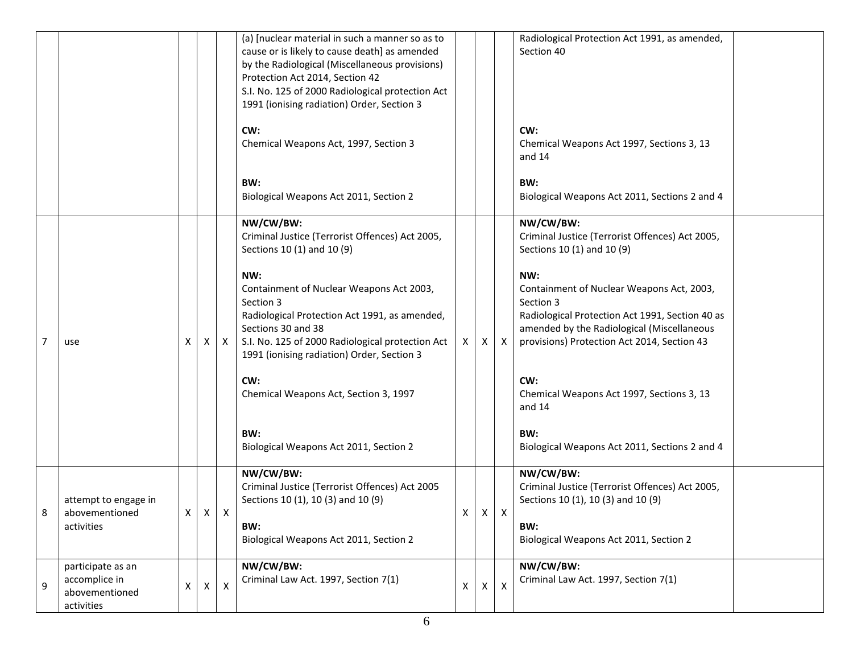|   |                                                                    |                |              |                | (a) [nuclear material in such a manner so as to<br>cause or is likely to cause death] as amended<br>by the Radiological (Miscellaneous provisions)<br>Protection Act 2014, Section 42<br>S.I. No. 125 of 2000 Radiological protection Act<br>1991 (ionising radiation) Order, Section 3 |   |   |                | Radiological Protection Act 1991, as amended,<br>Section 40                                                                                                                                                   |
|---|--------------------------------------------------------------------|----------------|--------------|----------------|-----------------------------------------------------------------------------------------------------------------------------------------------------------------------------------------------------------------------------------------------------------------------------------------|---|---|----------------|---------------------------------------------------------------------------------------------------------------------------------------------------------------------------------------------------------------|
|   |                                                                    |                |              |                | CW:<br>Chemical Weapons Act, 1997, Section 3                                                                                                                                                                                                                                            |   |   |                | CW:<br>Chemical Weapons Act 1997, Sections 3, 13<br>and $14$                                                                                                                                                  |
|   |                                                                    |                |              |                | BW:<br>Biological Weapons Act 2011, Section 2                                                                                                                                                                                                                                           |   |   |                | BW:<br>Biological Weapons Act 2011, Sections 2 and 4                                                                                                                                                          |
|   |                                                                    |                |              |                | NW/CW/BW:<br>Criminal Justice (Terrorist Offences) Act 2005,<br>Sections 10 (1) and 10 (9)                                                                                                                                                                                              |   |   |                | NW/CW/BW:<br>Criminal Justice (Terrorist Offences) Act 2005,<br>Sections 10 (1) and 10 (9)                                                                                                                    |
| 7 | use                                                                | Χ              | $\mathsf{X}$ | $\mathsf{X}$   | NW:<br>Containment of Nuclear Weapons Act 2003,<br>Section 3<br>Radiological Protection Act 1991, as amended,<br>Sections 30 and 38<br>S.I. No. 125 of 2000 Radiological protection Act<br>1991 (ionising radiation) Order, Section 3                                                   | X | х | Χ              | NW:<br>Containment of Nuclear Weapons Act, 2003,<br>Section 3<br>Radiological Protection Act 1991, Section 40 as<br>amended by the Radiological (Miscellaneous<br>provisions) Protection Act 2014, Section 43 |
|   |                                                                    |                |              |                | CW:<br>Chemical Weapons Act, Section 3, 1997                                                                                                                                                                                                                                            |   |   |                | CW:<br>Chemical Weapons Act 1997, Sections 3, 13<br>and 14                                                                                                                                                    |
|   |                                                                    |                |              |                | BW:<br>Biological Weapons Act 2011, Section 2                                                                                                                                                                                                                                           |   |   |                | BW:<br>Biological Weapons Act 2011, Sections 2 and 4                                                                                                                                                          |
| 8 | attempt to engage in<br>abovementioned<br>activities               | $\mathsf{X}^-$ | $\mathsf{X}$ | $\mathsf{X}$   | NW/CW/BW:<br>Criminal Justice (Terrorist Offences) Act 2005<br>Sections 10 (1), 10 (3) and 10 (9)<br>BW:<br>Biological Weapons Act 2011, Section 2                                                                                                                                      | X | X | $\mathsf{X}$   | NW/CW/BW:<br>Criminal Justice (Terrorist Offences) Act 2005,<br>Sections 10 (1), 10 (3) and 10 (9)<br>BW:<br>Biological Weapons Act 2011, Section 2                                                           |
| 9 | participate as an<br>accomplice in<br>abovementioned<br>activities | $\mathsf{X}^-$ | $\mathsf{X}$ | $\pmb{\times}$ | NW/CW/BW:<br>Criminal Law Act. 1997, Section 7(1)                                                                                                                                                                                                                                       | X | Χ | $\pmb{\times}$ | NW/CW/BW:<br>Criminal Law Act. 1997, Section 7(1)                                                                                                                                                             |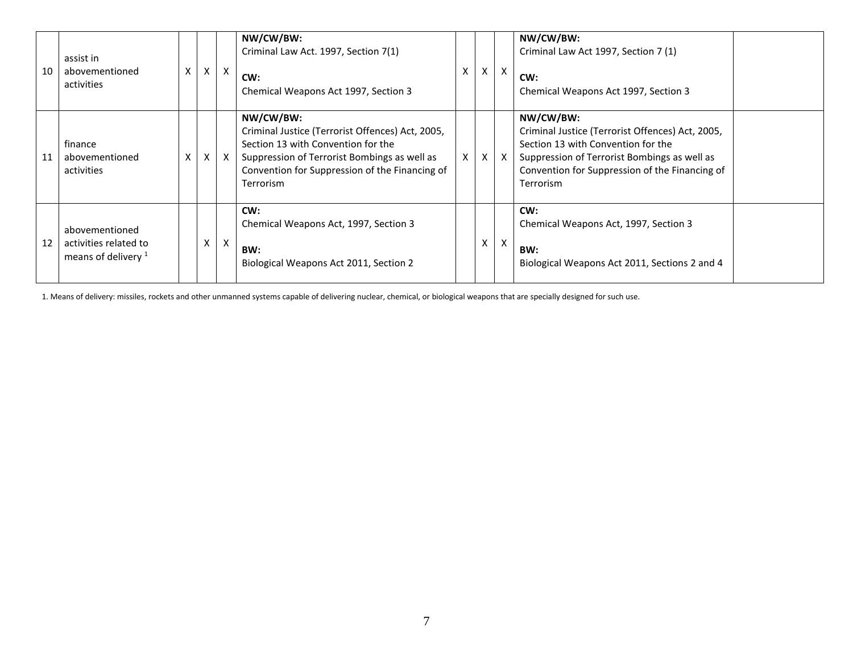| 10 | assist in<br>abovementioned<br>activities                        | X | X | $\mathsf{X}$ | NW/CW/BW:<br>Criminal Law Act. 1997, Section 7(1)<br>CW:<br>Chemical Weapons Act 1997, Section 3                                                                                                                   | X | $\vee$<br>^ | $\times$                  | NW/CW/BW:<br>Criminal Law Act 1997, Section 7 (1)<br>CW:<br>Chemical Weapons Act 1997, Section 3                                                                                                                   |
|----|------------------------------------------------------------------|---|---|--------------|--------------------------------------------------------------------------------------------------------------------------------------------------------------------------------------------------------------------|---|-------------|---------------------------|--------------------------------------------------------------------------------------------------------------------------------------------------------------------------------------------------------------------|
| 11 | finance<br>abovementioned<br>activities                          | X | Χ | $\mathsf{X}$ | NW/CW/BW:<br>Criminal Justice (Terrorist Offences) Act, 2005,<br>Section 13 with Convention for the<br>Suppression of Terrorist Bombings as well as<br>Convention for Suppression of the Financing of<br>Terrorism | X | X           | $\boldsymbol{\mathsf{X}}$ | NW/CW/BW:<br>Criminal Justice (Terrorist Offences) Act, 2005,<br>Section 13 with Convention for the<br>Suppression of Terrorist Bombings as well as<br>Convention for Suppression of the Financing of<br>Terrorism |
| 12 | abovementioned<br>activities related to<br>means of delivery $1$ |   | X | X            | CW:<br>Chemical Weapons Act, 1997, Section 3<br>BW:<br>Biological Weapons Act 2011, Section 2                                                                                                                      |   | X.          | $\mathsf{X}$              | CW:<br>Chemical Weapons Act, 1997, Section 3<br>BW:<br>Biological Weapons Act 2011, Sections 2 and 4                                                                                                               |

1. Means of delivery: missiles, rockets and other unmanned systems capable of delivering nuclear, chemical, or biological weapons that are specially designed for such use.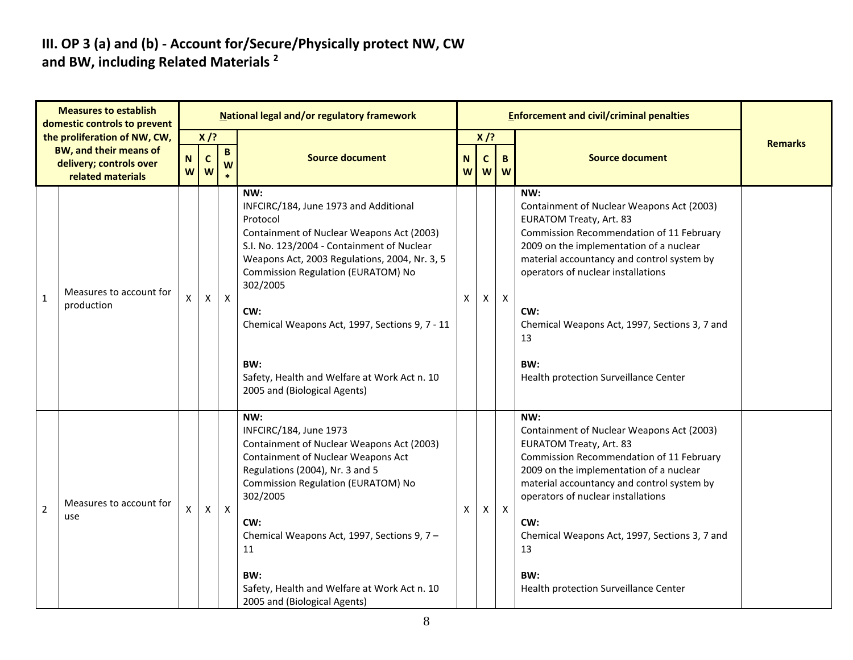#### **III. OP 3 (a) and (b) - Account for/Secure/Physically protect NW, CW and BW, including Related Materials <sup>2</sup>**

|                | <b>Measures to establish</b><br>domestic controls to prevent                                           |                  |                  |              | <b>National legal and/or regulatory framework</b>                                                                                                                                                                                                                                                                                                                                                      |        |                  |              | <b>Enforcement and civil/criminal penalties</b>                                                                                                                                                                                                                                                                                                                             |                |
|----------------|--------------------------------------------------------------------------------------------------------|------------------|------------------|--------------|--------------------------------------------------------------------------------------------------------------------------------------------------------------------------------------------------------------------------------------------------------------------------------------------------------------------------------------------------------------------------------------------------------|--------|------------------|--------------|-----------------------------------------------------------------------------------------------------------------------------------------------------------------------------------------------------------------------------------------------------------------------------------------------------------------------------------------------------------------------------|----------------|
|                | the proliferation of NW, CW,<br>BW, and their means of<br>delivery; controls over<br>related materials | $\mathbf N$<br>W | $X$ /?<br>C<br>W | B<br>W       | <b>Source document</b>                                                                                                                                                                                                                                                                                                                                                                                 | N<br>W | $X$ /?<br>C<br>W | B<br>W       | <b>Source document</b>                                                                                                                                                                                                                                                                                                                                                      | <b>Remarks</b> |
| $\mathbf{1}$   | Measures to account for<br>production                                                                  | X                | X                | $\mathsf{X}$ | NW:<br>INFCIRC/184, June 1973 and Additional<br>Protocol<br>Containment of Nuclear Weapons Act (2003)<br>S.I. No. 123/2004 - Containment of Nuclear<br>Weapons Act, 2003 Regulations, 2004, Nr. 3, 5<br>Commission Regulation (EURATOM) No<br>302/2005<br>CW:<br>Chemical Weapons Act, 1997, Sections 9, 7 - 11<br>BW:<br>Safety, Health and Welfare at Work Act n. 10<br>2005 and (Biological Agents) | X      | $\mathsf{X}$     | $\mathsf{X}$ | NW:<br>Containment of Nuclear Weapons Act (2003)<br><b>EURATOM Treaty, Art. 83</b><br>Commission Recommendation of 11 February<br>2009 on the implementation of a nuclear<br>material accountancy and control system by<br>operators of nuclear installations<br>CW:<br>Chemical Weapons Act, 1997, Sections 3, 7 and<br>13<br>BW:<br>Health protection Surveillance Center |                |
| $\overline{2}$ | Measures to account for<br>use                                                                         | X                | X                | $\mathsf{X}$ | NW:<br>INFCIRC/184, June 1973<br>Containment of Nuclear Weapons Act (2003)<br>Containment of Nuclear Weapons Act<br>Regulations (2004), Nr. 3 and 5<br>Commission Regulation (EURATOM) No<br>302/2005<br>CW:<br>Chemical Weapons Act, 1997, Sections 9, 7 -<br>11<br>BW:<br>Safety, Health and Welfare at Work Act n. 10<br>2005 and (Biological Agents)                                               | X      | $\mathsf{X}$     | $\mathsf{X}$ | NW:<br>Containment of Nuclear Weapons Act (2003)<br><b>EURATOM Treaty, Art. 83</b><br>Commission Recommendation of 11 February<br>2009 on the implementation of a nuclear<br>material accountancy and control system by<br>operators of nuclear installations<br>CW:<br>Chemical Weapons Act, 1997, Sections 3, 7 and<br>13<br>BW:<br>Health protection Surveillance Center |                |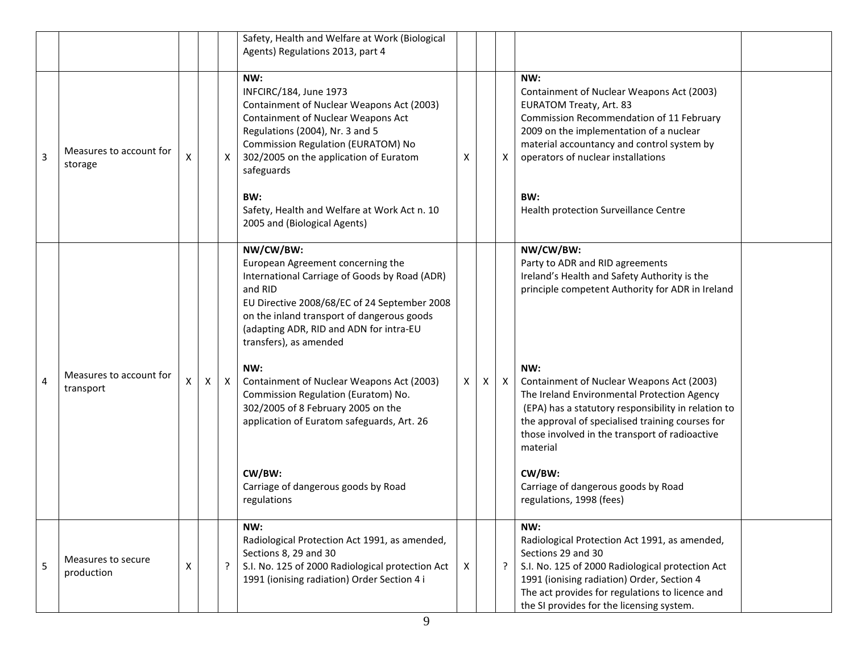|   |                                      |   |   |              | Safety, Health and Welfare at Work (Biological<br>Agents) Regulations 2013, part 4                                                                                                                                                                                                                                                                                                                                                                                                                                           |   |   |              |                                                                                                                                                                                                                                                                                                                                                                                                                                                                                                           |  |
|---|--------------------------------------|---|---|--------------|------------------------------------------------------------------------------------------------------------------------------------------------------------------------------------------------------------------------------------------------------------------------------------------------------------------------------------------------------------------------------------------------------------------------------------------------------------------------------------------------------------------------------|---|---|--------------|-----------------------------------------------------------------------------------------------------------------------------------------------------------------------------------------------------------------------------------------------------------------------------------------------------------------------------------------------------------------------------------------------------------------------------------------------------------------------------------------------------------|--|
| 3 | Measures to account for<br>storage   | X |   | $\mathsf{X}$ | NW:<br>INFCIRC/184, June 1973<br>Containment of Nuclear Weapons Act (2003)<br>Containment of Nuclear Weapons Act<br>Regulations (2004), Nr. 3 and 5<br>Commission Regulation (EURATOM) No<br>302/2005 on the application of Euratom<br>safeguards<br>BW:<br>Safety, Health and Welfare at Work Act n. 10<br>2005 and (Biological Agents)                                                                                                                                                                                     | Х |   | X            | NW:<br>Containment of Nuclear Weapons Act (2003)<br><b>EURATOM Treaty, Art. 83</b><br>Commission Recommendation of 11 February<br>2009 on the implementation of a nuclear<br>material accountancy and control system by<br>operators of nuclear installations<br>BW:<br>Health protection Surveillance Centre                                                                                                                                                                                             |  |
| 4 | Measures to account for<br>transport | х | X | $\mathsf{X}$ | NW/CW/BW:<br>European Agreement concerning the<br>International Carriage of Goods by Road (ADR)<br>and RID<br>EU Directive 2008/68/EC of 24 September 2008<br>on the inland transport of dangerous goods<br>(adapting ADR, RID and ADN for intra-EU<br>transfers), as amended<br>NW:<br>Containment of Nuclear Weapons Act (2003)<br>Commission Regulation (Euratom) No.<br>302/2005 of 8 February 2005 on the<br>application of Euratom safeguards, Art. 26<br>CW/BW:<br>Carriage of dangerous goods by Road<br>regulations | X | X | $\mathsf{X}$ | NW/CW/BW:<br>Party to ADR and RID agreements<br>Ireland's Health and Safety Authority is the<br>principle competent Authority for ADR in Ireland<br>NW:<br>Containment of Nuclear Weapons Act (2003)<br>The Ireland Environmental Protection Agency<br>(EPA) has a statutory responsibility in relation to<br>the approval of specialised training courses for<br>those involved in the transport of radioactive<br>material<br>CW/BW:<br>Carriage of dangerous goods by Road<br>regulations, 1998 (fees) |  |
| 5 | Measures to secure<br>production     | X |   | $\cdot$      | NW:<br>Radiological Protection Act 1991, as amended,<br>Sections 8, 29 and 30<br>S.I. No. 125 of 2000 Radiological protection Act<br>1991 (ionising radiation) Order Section 4 i                                                                                                                                                                                                                                                                                                                                             | X |   | $\tilde{f}$  | NW:<br>Radiological Protection Act 1991, as amended,<br>Sections 29 and 30<br>S.I. No. 125 of 2000 Radiological protection Act<br>1991 (ionising radiation) Order, Section 4<br>The act provides for regulations to licence and<br>the SI provides for the licensing system.                                                                                                                                                                                                                              |  |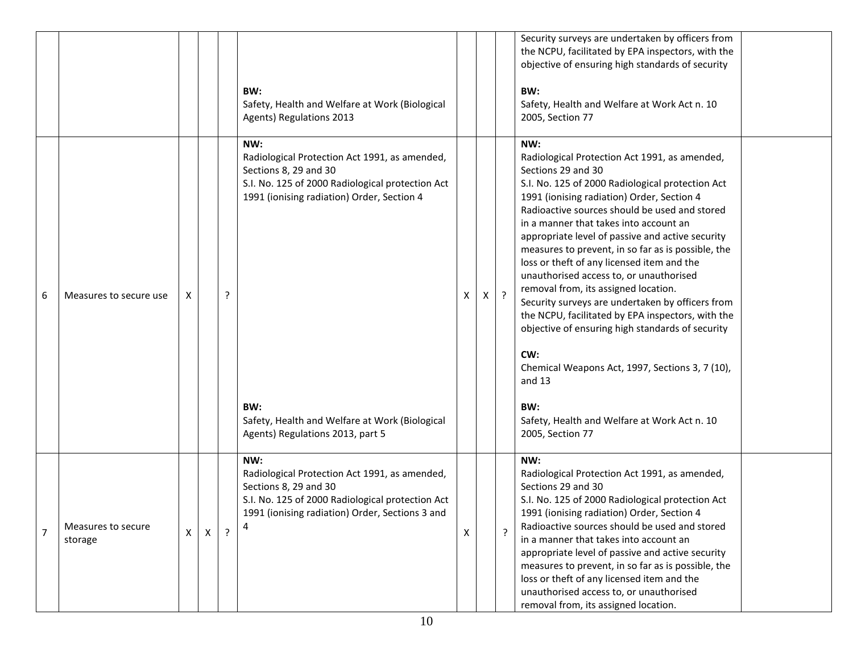|                |                               |              |              |                | BW:<br>Safety, Health and Welfare at Work (Biological<br>Agents) Regulations 2013                                                                                                                                                                                            |   |          |                | Security surveys are undertaken by officers from<br>the NCPU, facilitated by EPA inspectors, with the<br>objective of ensuring high standards of security<br>BW:<br>Safety, Health and Welfare at Work Act n. 10<br>2005, Section 77                                                                                                                                                                                                                                                                                                                                                                                                                                                                                                                                                                                           |  |
|----------------|-------------------------------|--------------|--------------|----------------|------------------------------------------------------------------------------------------------------------------------------------------------------------------------------------------------------------------------------------------------------------------------------|---|----------|----------------|--------------------------------------------------------------------------------------------------------------------------------------------------------------------------------------------------------------------------------------------------------------------------------------------------------------------------------------------------------------------------------------------------------------------------------------------------------------------------------------------------------------------------------------------------------------------------------------------------------------------------------------------------------------------------------------------------------------------------------------------------------------------------------------------------------------------------------|--|
| 6              | Measures to secure use        | X.           |              | ?              | NW:<br>Radiological Protection Act 1991, as amended,<br>Sections 8, 29 and 30<br>S.I. No. 125 of 2000 Radiological protection Act<br>1991 (ionising radiation) Order, Section 4<br>BW:<br>Safety, Health and Welfare at Work (Biological<br>Agents) Regulations 2013, part 5 | X | $x \mid$ | $\cdot$        | NW:<br>Radiological Protection Act 1991, as amended,<br>Sections 29 and 30<br>S.I. No. 125 of 2000 Radiological protection Act<br>1991 (ionising radiation) Order, Section 4<br>Radioactive sources should be used and stored<br>in a manner that takes into account an<br>appropriate level of passive and active security<br>measures to prevent, in so far as is possible, the<br>loss or theft of any licensed item and the<br>unauthorised access to, or unauthorised<br>removal from, its assigned location.<br>Security surveys are undertaken by officers from<br>the NCPU, facilitated by EPA inspectors, with the<br>objective of ensuring high standards of security<br>CW:<br>Chemical Weapons Act, 1997, Sections 3, 7 (10),<br>and 13<br>BW:<br>Safety, Health and Welfare at Work Act n. 10<br>2005, Section 77 |  |
| $\overline{7}$ | Measures to secure<br>storage | $\mathsf{X}$ | $\mathsf{x}$ | $\overline{?}$ | NW:<br>Radiological Protection Act 1991, as amended,<br>Sections 8, 29 and 30<br>S.I. No. 125 of 2000 Radiological protection Act<br>1991 (ionising radiation) Order, Sections 3 and                                                                                         | X |          | $\overline{?}$ | NW:<br>Radiological Protection Act 1991, as amended,<br>Sections 29 and 30<br>S.I. No. 125 of 2000 Radiological protection Act<br>1991 (ionising radiation) Order, Section 4<br>Radioactive sources should be used and stored<br>in a manner that takes into account an<br>appropriate level of passive and active security<br>measures to prevent, in so far as is possible, the<br>loss or theft of any licensed item and the<br>unauthorised access to, or unauthorised<br>removal from, its assigned location.                                                                                                                                                                                                                                                                                                             |  |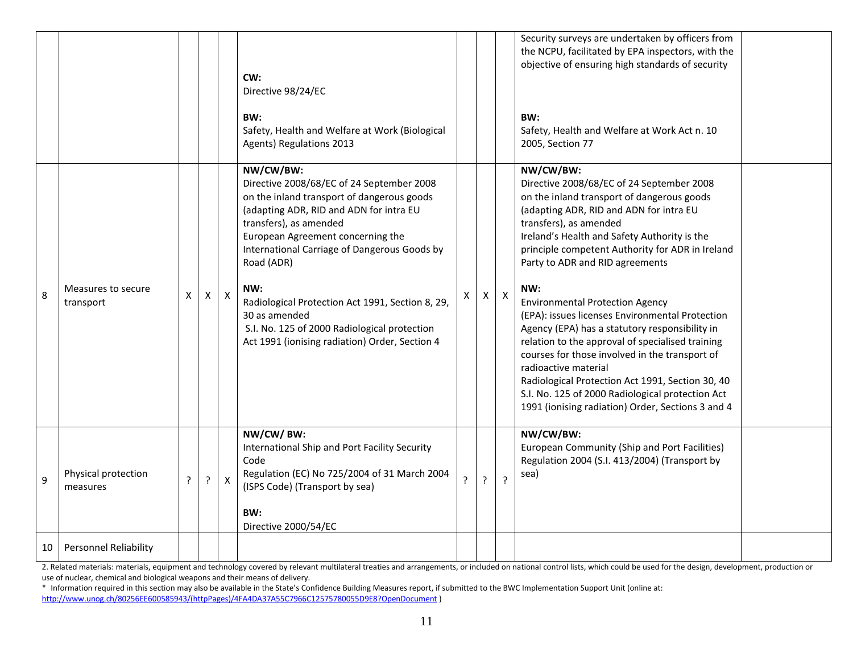|    |                                 |   |         |              | CW:<br>Directive 98/24/EC<br>BW:                                                                                                                                                                                                                                                                                                                                                                                                                           |                |   |                | Security surveys are undertaken by officers from<br>the NCPU, facilitated by EPA inspectors, with the<br>objective of ensuring high standards of security<br>BW:                                                                                                                                                                                                                                                                                                                                                                                                                                                                                                                                                                                                  |  |
|----|---------------------------------|---|---------|--------------|------------------------------------------------------------------------------------------------------------------------------------------------------------------------------------------------------------------------------------------------------------------------------------------------------------------------------------------------------------------------------------------------------------------------------------------------------------|----------------|---|----------------|-------------------------------------------------------------------------------------------------------------------------------------------------------------------------------------------------------------------------------------------------------------------------------------------------------------------------------------------------------------------------------------------------------------------------------------------------------------------------------------------------------------------------------------------------------------------------------------------------------------------------------------------------------------------------------------------------------------------------------------------------------------------|--|
|    |                                 |   |         |              | Safety, Health and Welfare at Work (Biological<br>Agents) Regulations 2013                                                                                                                                                                                                                                                                                                                                                                                 |                |   |                | Safety, Health and Welfare at Work Act n. 10<br>2005, Section 77                                                                                                                                                                                                                                                                                                                                                                                                                                                                                                                                                                                                                                                                                                  |  |
| 8  | Measures to secure<br>transport | X | X       | $\mathsf{X}$ | NW/CW/BW:<br>Directive 2008/68/EC of 24 September 2008<br>on the inland transport of dangerous goods<br>(adapting ADR, RID and ADN for intra EU<br>transfers), as amended<br>European Agreement concerning the<br>International Carriage of Dangerous Goods by<br>Road (ADR)<br>NW:<br>Radiological Protection Act 1991, Section 8, 29,<br>30 as amended<br>S.I. No. 125 of 2000 Radiological protection<br>Act 1991 (ionising radiation) Order, Section 4 | X              | X | $\mathsf{X}$   | NW/CW/BW:<br>Directive 2008/68/EC of 24 September 2008<br>on the inland transport of dangerous goods<br>(adapting ADR, RID and ADN for intra EU<br>transfers), as amended<br>Ireland's Health and Safety Authority is the<br>principle competent Authority for ADR in Ireland<br>Party to ADR and RID agreements<br>NW:<br><b>Environmental Protection Agency</b><br>(EPA): issues licenses Environmental Protection<br>Agency (EPA) has a statutory responsibility in<br>relation to the approval of specialised training<br>courses for those involved in the transport of<br>radioactive material<br>Radiological Protection Act 1991, Section 30, 40<br>S.I. No. 125 of 2000 Radiological protection Act<br>1991 (ionising radiation) Order, Sections 3 and 4 |  |
| 9  | Physical protection<br>measures | ? | $\cdot$ | X            | NW/CW/BW:<br>International Ship and Port Facility Security<br>Code<br>Regulation (EC) No 725/2004 of 31 March 2004<br>(ISPS Code) (Transport by sea)<br>BW:<br>Directive 2000/54/EC                                                                                                                                                                                                                                                                        | $\overline{?}$ | ? | $\overline{?}$ | NW/CW/BW:<br>European Community (Ship and Port Facilities)<br>Regulation 2004 (S.I. 413/2004) (Transport by<br>sea)                                                                                                                                                                                                                                                                                                                                                                                                                                                                                                                                                                                                                                               |  |
| 10 | Personnel Reliability           |   |         |              |                                                                                                                                                                                                                                                                                                                                                                                                                                                            |                |   |                |                                                                                                                                                                                                                                                                                                                                                                                                                                                                                                                                                                                                                                                                                                                                                                   |  |

2. Related materials: materials, equipment and technology covered by relevant multilateral treaties and arrangements, or included on national control lists, which could be used for the design, development, production or use of nuclear, chemical and biological weapons and their means of delivery.

<sup>\*</sup> Information required in this section may also be available in the State's Confidence Building Measures report, if submitted to the BWC Implementation Support Unit (online at: [http://www.unog.ch/80256EE600585943/\(httpPages\)/4FA4DA37A55C7966C12575780055D9E8?OpenDocument](http://www.unog.ch/80256EE600585943/(httpPages)/4FA4DA37A55C7966C12575780055D9E8?OpenDocument) )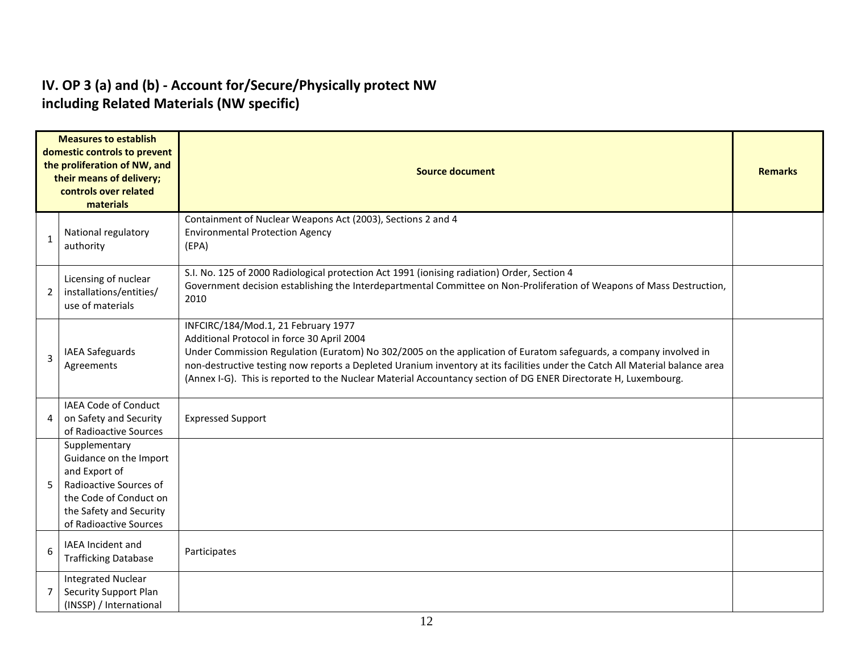#### **IV. OP 3 (a) and (b) - Account for/Secure/Physically protect NW including Related Materials (NW specific)**

|              | <b>Measures to establish</b><br>domestic controls to prevent<br>the proliferation of NW, and<br>their means of delivery;<br>controls over related<br>materials    | <b>Source document</b>                                                                                                                                                                                                                                                                                                                                                                                                                                    |  |  |  |  |  |  |  |
|--------------|-------------------------------------------------------------------------------------------------------------------------------------------------------------------|-----------------------------------------------------------------------------------------------------------------------------------------------------------------------------------------------------------------------------------------------------------------------------------------------------------------------------------------------------------------------------------------------------------------------------------------------------------|--|--|--|--|--|--|--|
| $\mathbf{1}$ | National regulatory<br>authority                                                                                                                                  | Containment of Nuclear Weapons Act (2003), Sections 2 and 4<br><b>Environmental Protection Agency</b><br>(EPA)                                                                                                                                                                                                                                                                                                                                            |  |  |  |  |  |  |  |
| 2            | Licensing of nuclear<br>installations/entities/<br>use of materials                                                                                               | S.I. No. 125 of 2000 Radiological protection Act 1991 (ionising radiation) Order, Section 4<br>Government decision establishing the Interdepartmental Committee on Non-Proliferation of Weapons of Mass Destruction,<br>2010                                                                                                                                                                                                                              |  |  |  |  |  |  |  |
| 3            | <b>IAEA Safeguards</b><br>Agreements                                                                                                                              | INFCIRC/184/Mod.1, 21 February 1977<br>Additional Protocol in force 30 April 2004<br>Under Commission Regulation (Euratom) No 302/2005 on the application of Euratom safeguards, a company involved in<br>non-destructive testing now reports a Depleted Uranium inventory at its facilities under the Catch All Material balance area<br>(Annex I-G). This is reported to the Nuclear Material Accountancy section of DG ENER Directorate H, Luxembourg. |  |  |  |  |  |  |  |
| 4            | <b>IAEA Code of Conduct</b><br>on Safety and Security<br>of Radioactive Sources                                                                                   | <b>Expressed Support</b>                                                                                                                                                                                                                                                                                                                                                                                                                                  |  |  |  |  |  |  |  |
| 5            | Supplementary<br>Guidance on the Import<br>and Export of<br>Radioactive Sources of<br>the Code of Conduct on<br>the Safety and Security<br>of Radioactive Sources |                                                                                                                                                                                                                                                                                                                                                                                                                                                           |  |  |  |  |  |  |  |
| 6            | IAEA Incident and<br><b>Trafficking Database</b>                                                                                                                  | Participates                                                                                                                                                                                                                                                                                                                                                                                                                                              |  |  |  |  |  |  |  |
|              | <b>Integrated Nuclear</b><br>Security Support Plan<br>(INSSP) / International                                                                                     |                                                                                                                                                                                                                                                                                                                                                                                                                                                           |  |  |  |  |  |  |  |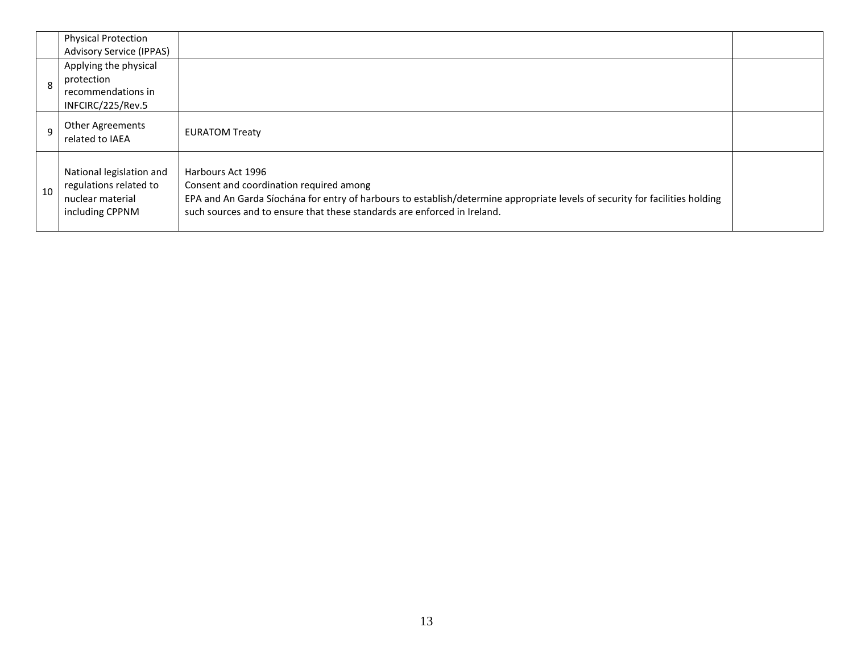|              | <b>Physical Protection</b><br><b>Advisory Service (IPPAS)</b>                             |                                                                                                                                                                                                                                                                          |  |
|--------------|-------------------------------------------------------------------------------------------|--------------------------------------------------------------------------------------------------------------------------------------------------------------------------------------------------------------------------------------------------------------------------|--|
| $\mathbf{8}$ | Applying the physical<br>protection<br>recommendations in<br>INFCIRC/225/Rev.5            |                                                                                                                                                                                                                                                                          |  |
| $\mathsf{q}$ | <b>Other Agreements</b><br>related to IAEA                                                | <b>EURATOM Treaty</b>                                                                                                                                                                                                                                                    |  |
| 10           | National legislation and<br>regulations related to<br>nuclear material<br>including CPPNM | Harbours Act 1996<br>Consent and coordination required among<br>EPA and An Garda Síochána for entry of harbours to establish/determine appropriate levels of security for facilities holding<br>such sources and to ensure that these standards are enforced in Ireland. |  |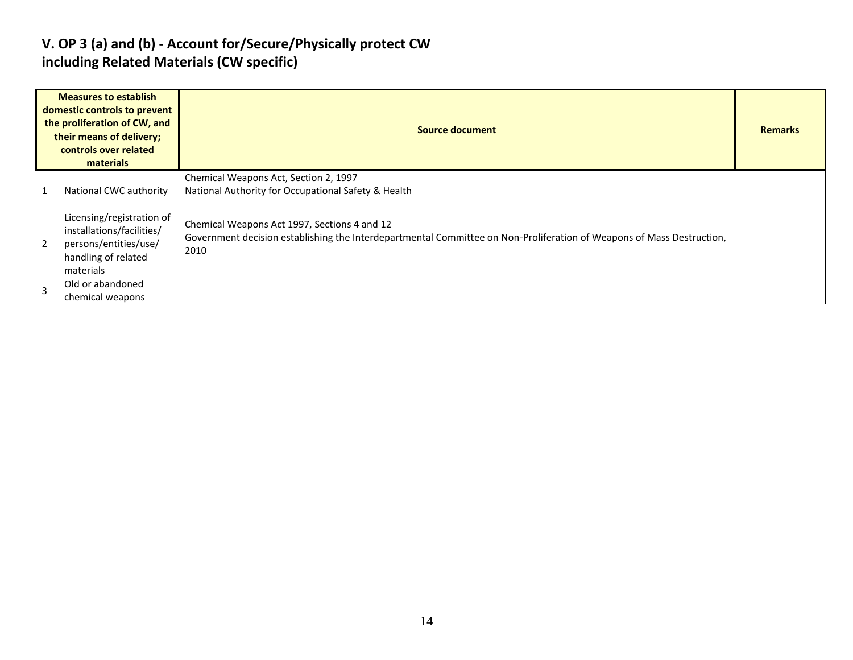### **V. OP 3 (a) and (b) - Account for/Secure/Physically protect CW including Related Materials (CW specific)**

|                | <b>Measures to establish</b><br>domestic controls to prevent<br>the proliferation of CW, and<br>their means of delivery;<br>controls over related<br>materials | Source document                                                                                                                                                               | <b>Remarks</b> |
|----------------|----------------------------------------------------------------------------------------------------------------------------------------------------------------|-------------------------------------------------------------------------------------------------------------------------------------------------------------------------------|----------------|
|                | National CWC authority                                                                                                                                         | Chemical Weapons Act, Section 2, 1997<br>National Authority for Occupational Safety & Health                                                                                  |                |
| $\overline{2}$ | Licensing/registration of<br>installations/facilities/<br>persons/entities/use/<br>handling of related<br>materials                                            | Chemical Weapons Act 1997, Sections 4 and 12<br>Government decision establishing the Interdepartmental Committee on Non-Proliferation of Weapons of Mass Destruction,<br>2010 |                |
| $\overline{3}$ | Old or abandoned<br>chemical weapons                                                                                                                           |                                                                                                                                                                               |                |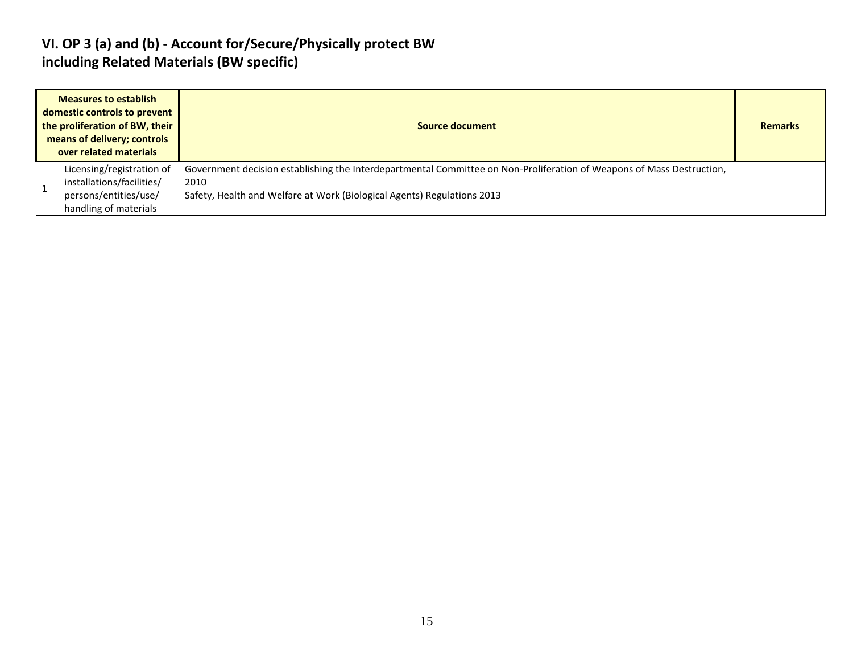### **VI. OP 3 (a) and (b) - Account for/Secure/Physically protect BW including Related Materials (BW specific)**

| <b>Measures to establish</b><br>domestic controls to prevent<br>the proliferation of BW, their<br>means of delivery; controls<br>over related materials | Source document                                                                                                                                                                                          |  |  |  |  |  |  |
|---------------------------------------------------------------------------------------------------------------------------------------------------------|----------------------------------------------------------------------------------------------------------------------------------------------------------------------------------------------------------|--|--|--|--|--|--|
| Licensing/registration of<br>installations/facilities/<br>persons/entities/use/<br>handling of materials                                                | Government decision establishing the Interdepartmental Committee on Non-Proliferation of Weapons of Mass Destruction,<br>2010<br>Safety, Health and Welfare at Work (Biological Agents) Regulations 2013 |  |  |  |  |  |  |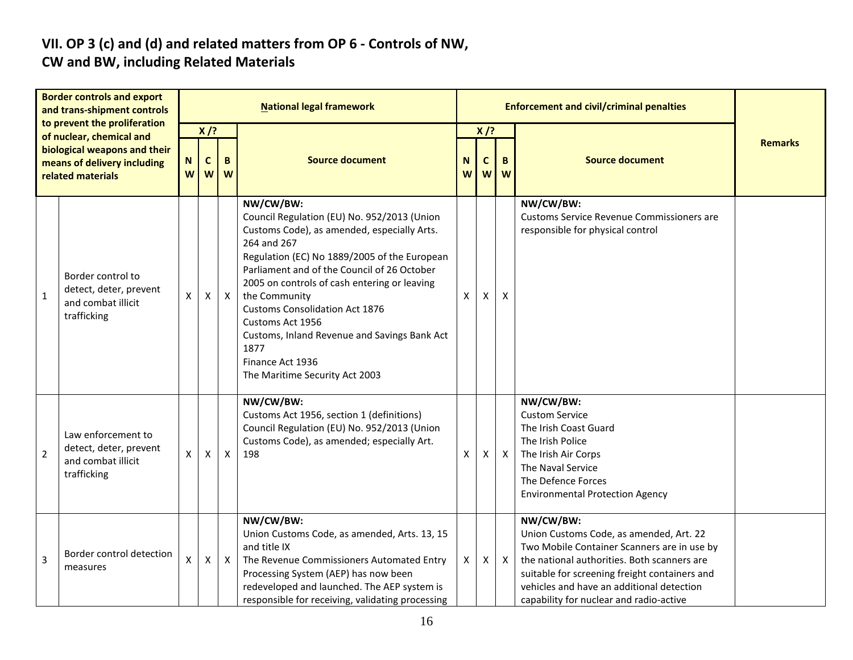# **VII. OP 3 (c) and (d) and related matters from OP 6 - Controls of NW,**

### **CW and BW, including Related Materials**

| <b>Border controls and export</b><br>and trans-shipment controls<br>to prevent the proliferation<br>of nuclear, chemical and<br>biological weapons and their<br>means of delivery including<br>related materials |                                                                                   | <b>National legal framework</b> |                  |              |                                                                                                                                                                                                                                                                                                                                                                                                                                                                   |                                                                |                           | <b>Enforcement and civil/criminal penalties</b> |                                                                                                                                                                                                                                                                                             |  |
|------------------------------------------------------------------------------------------------------------------------------------------------------------------------------------------------------------------|-----------------------------------------------------------------------------------|---------------------------------|------------------|--------------|-------------------------------------------------------------------------------------------------------------------------------------------------------------------------------------------------------------------------------------------------------------------------------------------------------------------------------------------------------------------------------------------------------------------------------------------------------------------|----------------------------------------------------------------|---------------------------|-------------------------------------------------|---------------------------------------------------------------------------------------------------------------------------------------------------------------------------------------------------------------------------------------------------------------------------------------------|--|
|                                                                                                                                                                                                                  |                                                                                   | N<br>W                          | $X$ /?<br>C<br>W | B<br>W       | <b>Source document</b>                                                                                                                                                                                                                                                                                                                                                                                                                                            | $X$ /?<br><b>Source document</b><br>N<br>B<br>C<br>W<br>W<br>W |                           | <b>Remarks</b>                                  |                                                                                                                                                                                                                                                                                             |  |
| $\mathbf 1$                                                                                                                                                                                                      | Border control to<br>detect, deter, prevent<br>and combat illicit<br>trafficking  | X                               | X                | $\mathsf{X}$ | NW/CW/BW:<br>Council Regulation (EU) No. 952/2013 (Union<br>Customs Code), as amended, especially Arts.<br>264 and 267<br>Regulation (EC) No 1889/2005 of the European<br>Parliament and of the Council of 26 October<br>2005 on controls of cash entering or leaving<br>the Community<br><b>Customs Consolidation Act 1876</b><br>Customs Act 1956<br>Customs, Inland Revenue and Savings Bank Act<br>1877<br>Finance Act 1936<br>The Maritime Security Act 2003 | X                                                              | $\boldsymbol{\mathsf{x}}$ | X                                               | NW/CW/BW:<br>Customs Service Revenue Commissioners are<br>responsible for physical control                                                                                                                                                                                                  |  |
| $\overline{2}$                                                                                                                                                                                                   | Law enforcement to<br>detect, deter, prevent<br>and combat illicit<br>trafficking | X                               | X                | $\mathsf{X}$ | NW/CW/BW:<br>Customs Act 1956, section 1 (definitions)<br>Council Regulation (EU) No. 952/2013 (Union<br>Customs Code), as amended; especially Art.<br>198                                                                                                                                                                                                                                                                                                        | X                                                              | X                         | $\mathsf{X}$                                    | NW/CW/BW:<br><b>Custom Service</b><br>The Irish Coast Guard<br>The Irish Police<br>The Irish Air Corps<br>The Naval Service<br>The Defence Forces<br><b>Environmental Protection Agency</b>                                                                                                 |  |
| 3                                                                                                                                                                                                                | Border control detection<br>measures                                              | X                               | $\pmb{\times}$   | $\mathsf{X}$ | NW/CW/BW:<br>Union Customs Code, as amended, Arts. 13, 15<br>and title IX<br>The Revenue Commissioners Automated Entry<br>Processing System (AEP) has now been<br>redeveloped and launched. The AEP system is<br>responsible for receiving, validating processing                                                                                                                                                                                                 | X                                                              | X                         | $\boldsymbol{\mathsf{X}}$                       | NW/CW/BW:<br>Union Customs Code, as amended, Art. 22<br>Two Mobile Container Scanners are in use by<br>the national authorities. Both scanners are<br>suitable for screening freight containers and<br>vehicles and have an additional detection<br>capability for nuclear and radio-active |  |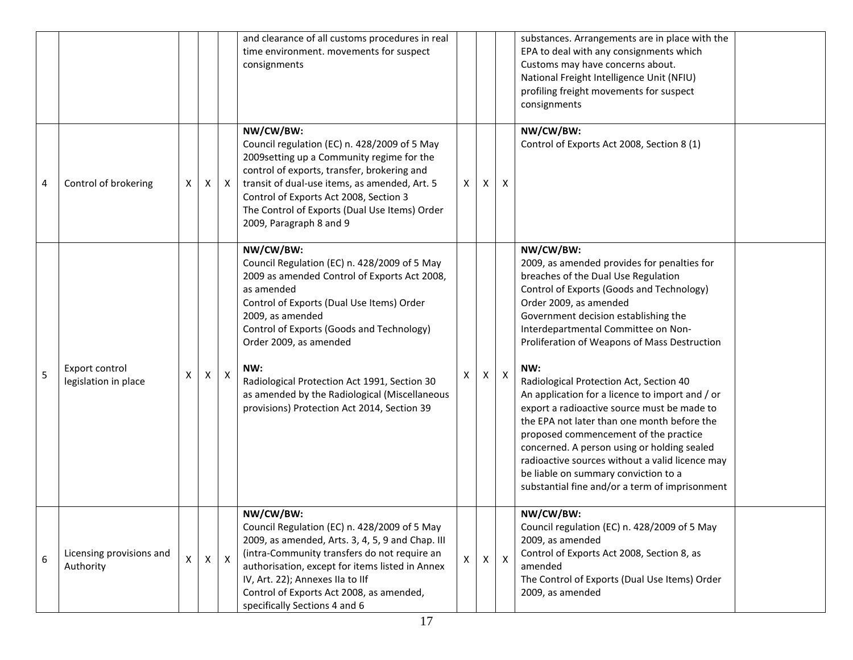|   |                                        |   |   |                  | and clearance of all customs procedures in real<br>time environment. movements for suspect<br>consignments                                                                                                                                                                                                                                                                                                             |              |   |                | substances. Arrangements are in place with the<br>EPA to deal with any consignments which<br>Customs may have concerns about.<br>National Freight Intelligence Unit (NFIU)<br>profiling freight movements for suspect<br>consignments                                                                                                                                                                                                                                                                                                                                                                                                                                                                                                         |  |
|---|----------------------------------------|---|---|------------------|------------------------------------------------------------------------------------------------------------------------------------------------------------------------------------------------------------------------------------------------------------------------------------------------------------------------------------------------------------------------------------------------------------------------|--------------|---|----------------|-----------------------------------------------------------------------------------------------------------------------------------------------------------------------------------------------------------------------------------------------------------------------------------------------------------------------------------------------------------------------------------------------------------------------------------------------------------------------------------------------------------------------------------------------------------------------------------------------------------------------------------------------------------------------------------------------------------------------------------------------|--|
| 4 | Control of brokering                   | X | X | $\mathsf{X}$     | NW/CW/BW:<br>Council regulation (EC) n. 428/2009 of 5 May<br>2009 setting up a Community regime for the<br>control of exports, transfer, brokering and<br>transit of dual-use items, as amended, Art. 5<br>Control of Exports Act 2008, Section 3<br>The Control of Exports (Dual Use Items) Order<br>2009, Paragraph 8 and 9                                                                                          | Χ            | Χ | X              | NW/CW/BW:<br>Control of Exports Act 2008, Section 8 (1)                                                                                                                                                                                                                                                                                                                                                                                                                                                                                                                                                                                                                                                                                       |  |
| 5 | Export control<br>legislation in place | Χ | Χ | $\boldsymbol{X}$ | NW/CW/BW:<br>Council Regulation (EC) n. 428/2009 of 5 May<br>2009 as amended Control of Exports Act 2008,<br>as amended<br>Control of Exports (Dual Use Items) Order<br>2009, as amended<br>Control of Exports (Goods and Technology)<br>Order 2009, as amended<br>NW:<br>Radiological Protection Act 1991, Section 30<br>as amended by the Radiological (Miscellaneous<br>provisions) Protection Act 2014, Section 39 | Х            | Χ | $\pmb{\times}$ | NW/CW/BW:<br>2009, as amended provides for penalties for<br>breaches of the Dual Use Regulation<br>Control of Exports (Goods and Technology)<br>Order 2009, as amended<br>Government decision establishing the<br>Interdepartmental Committee on Non-<br>Proliferation of Weapons of Mass Destruction<br>NW:<br>Radiological Protection Act, Section 40<br>An application for a licence to import and / or<br>export a radioactive source must be made to<br>the EPA not later than one month before the<br>proposed commencement of the practice<br>concerned. A person using or holding sealed<br>radioactive sources without a valid licence may<br>be liable on summary conviction to a<br>substantial fine and/or a term of imprisonment |  |
| 6 | Licensing provisions and<br>Authority  | X | X | $\mathsf{X}$     | NW/CW/BW:<br>Council Regulation (EC) n. 428/2009 of 5 May<br>2009, as amended, Arts. 3, 4, 5, 9 and Chap. III<br>(intra-Community transfers do not require an<br>authorisation, except for items listed in Annex<br>IV, Art. 22); Annexes IIa to IIf<br>Control of Exports Act 2008, as amended,<br>specifically Sections 4 and 6                                                                                      | $\mathsf{x}$ | X | $\mathsf{X}$   | NW/CW/BW:<br>Council regulation (EC) n. 428/2009 of 5 May<br>2009, as amended<br>Control of Exports Act 2008, Section 8, as<br>amended<br>The Control of Exports (Dual Use Items) Order<br>2009, as amended                                                                                                                                                                                                                                                                                                                                                                                                                                                                                                                                   |  |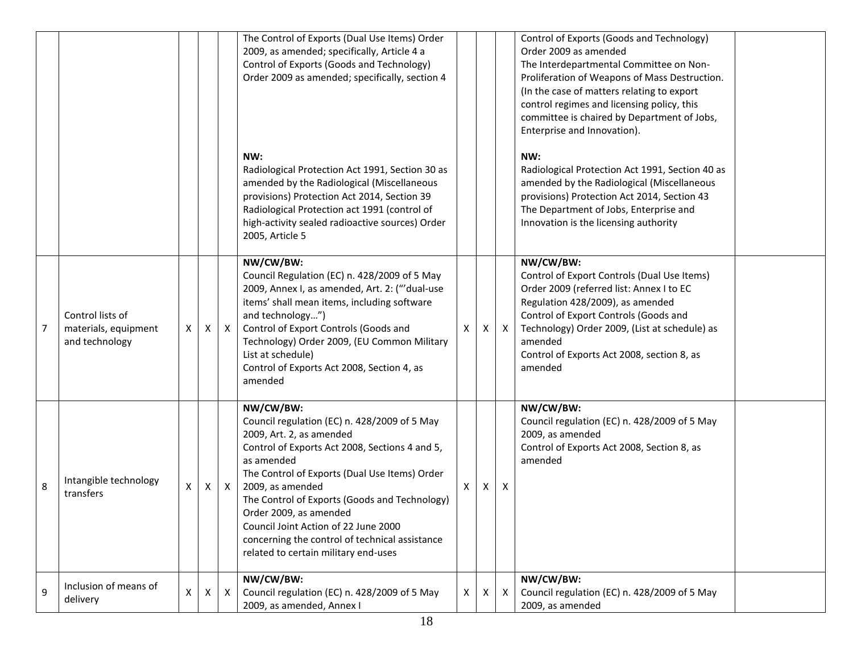|   |                                                            |    |   |              | The Control of Exports (Dual Use Items) Order<br>2009, as amended; specifically, Article 4 a<br>Control of Exports (Goods and Technology)<br>Order 2009 as amended; specifically, section 4                                                                                                                                                                                                                                             |              |   |              | Control of Exports (Goods and Technology)<br>Order 2009 as amended<br>The Interdepartmental Committee on Non-<br>Proliferation of Weapons of Mass Destruction.<br>(In the case of matters relating to export<br>control regimes and licensing policy, this                                                           |
|---|------------------------------------------------------------|----|---|--------------|-----------------------------------------------------------------------------------------------------------------------------------------------------------------------------------------------------------------------------------------------------------------------------------------------------------------------------------------------------------------------------------------------------------------------------------------|--------------|---|--------------|----------------------------------------------------------------------------------------------------------------------------------------------------------------------------------------------------------------------------------------------------------------------------------------------------------------------|
|   |                                                            |    |   |              | NW:<br>Radiological Protection Act 1991, Section 30 as<br>amended by the Radiological (Miscellaneous<br>provisions) Protection Act 2014, Section 39<br>Radiological Protection act 1991 (control of<br>high-activity sealed radioactive sources) Order<br>2005, Article 5                                                                                                                                                               |              |   |              | committee is chaired by Department of Jobs,<br>Enterprise and Innovation).<br>NW:<br>Radiological Protection Act 1991, Section 40 as<br>amended by the Radiological (Miscellaneous<br>provisions) Protection Act 2014, Section 43<br>The Department of Jobs, Enterprise and<br>Innovation is the licensing authority |
| 7 | Control lists of<br>materials, equipment<br>and technology | X  | X | $\mathsf{X}$ | NW/CW/BW:<br>Council Regulation (EC) n. 428/2009 of 5 May<br>2009, Annex I, as amended, Art. 2: ("'dual-use<br>items' shall mean items, including software<br>and technology")<br>Control of Export Controls (Goods and<br>Technology) Order 2009, (EU Common Military<br>List at schedule)<br>Control of Exports Act 2008, Section 4, as<br>amended                                                                                    | X            | X | $\mathsf{X}$ | NW/CW/BW:<br>Control of Export Controls (Dual Use Items)<br>Order 2009 (referred list: Annex I to EC<br>Regulation 428/2009), as amended<br>Control of Export Controls (Goods and<br>Technology) Order 2009, (List at schedule) as<br>amended<br>Control of Exports Act 2008, section 8, as<br>amended               |
| 8 | Intangible technology<br>transfers                         | X  | X | $\mathsf{X}$ | NW/CW/BW:<br>Council regulation (EC) n. 428/2009 of 5 May<br>2009, Art. 2, as amended<br>Control of Exports Act 2008, Sections 4 and 5,<br>as amended<br>The Control of Exports (Dual Use Items) Order<br>2009, as amended<br>The Control of Exports (Goods and Technology)<br>Order 2009, as amended<br>Council Joint Action of 22 June 2000<br>concerning the control of technical assistance<br>related to certain military end-uses | X            | X | X            | NW/CW/BW:<br>Council regulation (EC) n. 428/2009 of 5 May<br>2009, as amended<br>Control of Exports Act 2008, Section 8, as<br>amended                                                                                                                                                                               |
| 9 | Inclusion of means of<br>delivery                          | X. | X | $\mathsf{X}$ | NW/CW/BW:<br>Council regulation (EC) n. 428/2009 of 5 May<br>2009, as amended, Annex I                                                                                                                                                                                                                                                                                                                                                  | $\mathsf{X}$ | X | Χ            | NW/CW/BW:<br>Council regulation (EC) n. 428/2009 of 5 May<br>2009, as amended                                                                                                                                                                                                                                        |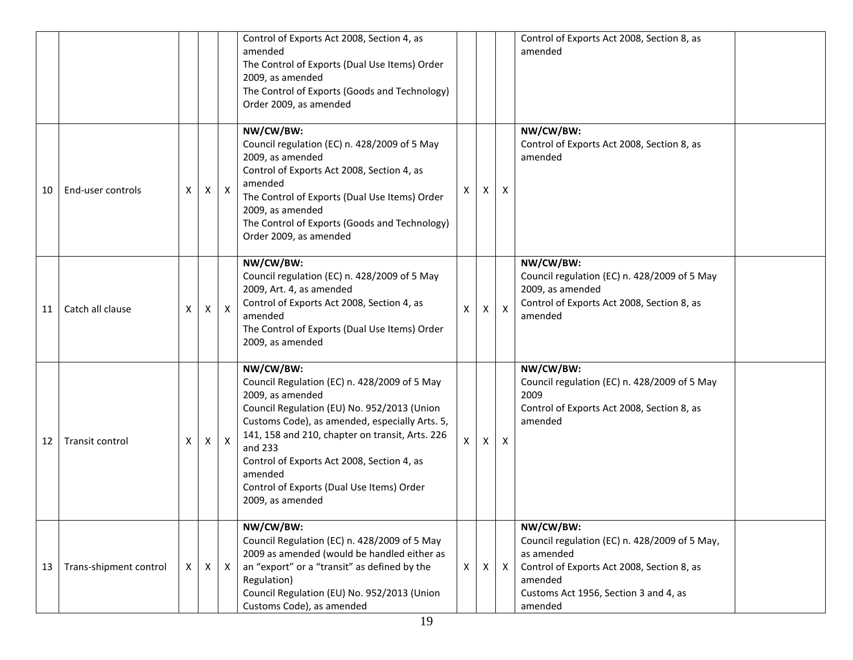|    |                        |   |   |              | Control of Exports Act 2008, Section 4, as<br>amended<br>The Control of Exports (Dual Use Items) Order<br>2009, as amended<br>The Control of Exports (Goods and Technology)<br>Order 2009, as amended                                                                                                                                                                  |              |   |                  | Control of Exports Act 2008, Section 8, as<br>amended                                                                                                                                 |  |
|----|------------------------|---|---|--------------|------------------------------------------------------------------------------------------------------------------------------------------------------------------------------------------------------------------------------------------------------------------------------------------------------------------------------------------------------------------------|--------------|---|------------------|---------------------------------------------------------------------------------------------------------------------------------------------------------------------------------------|--|
| 10 | End-user controls      | X | X | $\mathsf{X}$ | NW/CW/BW:<br>Council regulation (EC) n. 428/2009 of 5 May<br>2009, as amended<br>Control of Exports Act 2008, Section 4, as<br>amended<br>The Control of Exports (Dual Use Items) Order<br>2009, as amended<br>The Control of Exports (Goods and Technology)<br>Order 2009, as amended                                                                                 | Χ            | X | X                | NW/CW/BW:<br>Control of Exports Act 2008, Section 8, as<br>amended                                                                                                                    |  |
| 11 | Catch all clause       | X | X | $\mathsf{X}$ | NW/CW/BW:<br>Council regulation (EC) n. 428/2009 of 5 May<br>2009, Art. 4, as amended<br>Control of Exports Act 2008, Section 4, as<br>amended<br>The Control of Exports (Dual Use Items) Order<br>2009, as amended                                                                                                                                                    | $\mathsf{x}$ | X | $\mathsf{X}$     | NW/CW/BW:<br>Council regulation (EC) n. 428/2009 of 5 May<br>2009, as amended<br>Control of Exports Act 2008, Section 8, as<br>amended                                                |  |
| 12 | Transit control        | Χ | Χ | $\mathsf{X}$ | NW/CW/BW:<br>Council Regulation (EC) n. 428/2009 of 5 May<br>2009, as amended<br>Council Regulation (EU) No. 952/2013 (Union<br>Customs Code), as amended, especially Arts. 5,<br>141, 158 and 210, chapter on transit, Arts. 226<br>and 233<br>Control of Exports Act 2008, Section 4, as<br>amended<br>Control of Exports (Dual Use Items) Order<br>2009, as amended | $\times$     | X | $\boldsymbol{X}$ | NW/CW/BW:<br>Council regulation (EC) n. 428/2009 of 5 May<br>2009<br>Control of Exports Act 2008, Section 8, as<br>amended                                                            |  |
| 13 | Trans-shipment control | X | X | $\mathsf{X}$ | NW/CW/BW:<br>Council Regulation (EC) n. 428/2009 of 5 May<br>2009 as amended (would be handled either as<br>an "export" or a "transit" as defined by the<br>Regulation)<br>Council Regulation (EU) No. 952/2013 (Union<br>Customs Code), as amended                                                                                                                    | $\mathsf{X}$ | X | $\mathsf{X}$     | NW/CW/BW:<br>Council regulation (EC) n. 428/2009 of 5 May,<br>as amended<br>Control of Exports Act 2008, Section 8, as<br>amended<br>Customs Act 1956, Section 3 and 4, as<br>amended |  |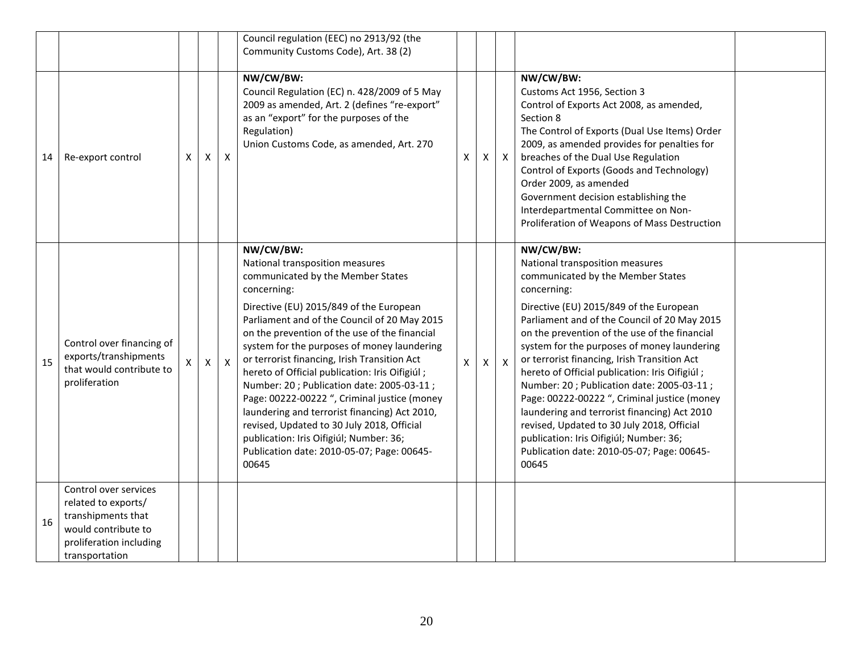|    |                                                                                                                                        |   |              |              | Council regulation (EEC) no 2913/92 (the<br>Community Customs Code), Art. 38 (2)                                                                                                                                                                                                                                                                                                                                                                                                                                                                                                                                                                                                            |              |    |              |                                                                                                                                                                                                                                                                                                                                                                                                                                                                                                                                                                                                                                                                                            |  |
|----|----------------------------------------------------------------------------------------------------------------------------------------|---|--------------|--------------|---------------------------------------------------------------------------------------------------------------------------------------------------------------------------------------------------------------------------------------------------------------------------------------------------------------------------------------------------------------------------------------------------------------------------------------------------------------------------------------------------------------------------------------------------------------------------------------------------------------------------------------------------------------------------------------------|--------------|----|--------------|--------------------------------------------------------------------------------------------------------------------------------------------------------------------------------------------------------------------------------------------------------------------------------------------------------------------------------------------------------------------------------------------------------------------------------------------------------------------------------------------------------------------------------------------------------------------------------------------------------------------------------------------------------------------------------------------|--|
| 14 | Re-export control                                                                                                                      | X | X            | $\mathsf{X}$ | NW/CW/BW:<br>Council Regulation (EC) n. 428/2009 of 5 May<br>2009 as amended, Art. 2 (defines "re-export"<br>as an "export" for the purposes of the<br>Regulation)<br>Union Customs Code, as amended, Art. 270                                                                                                                                                                                                                                                                                                                                                                                                                                                                              | X            | Χ  | $\mathsf{X}$ | NW/CW/BW:<br>Customs Act 1956, Section 3<br>Control of Exports Act 2008, as amended,<br>Section 8<br>The Control of Exports (Dual Use Items) Order<br>2009, as amended provides for penalties for<br>breaches of the Dual Use Regulation<br>Control of Exports (Goods and Technology)<br>Order 2009, as amended<br>Government decision establishing the<br>Interdepartmental Committee on Non-<br>Proliferation of Weapons of Mass Destruction                                                                                                                                                                                                                                             |  |
| 15 | Control over financing of<br>exports/transhipments<br>that would contribute to<br>proliferation                                        |   | $\mathsf{X}$ | $\mathsf{X}$ | NW/CW/BW:<br>National transposition measures<br>communicated by the Member States<br>concerning:<br>Directive (EU) 2015/849 of the European<br>Parliament and of the Council of 20 May 2015<br>on the prevention of the use of the financial<br>system for the purposes of money laundering<br>or terrorist financing, Irish Transition Act<br>hereto of Official publication: Iris Oifigiúl;<br>Number: 20; Publication date: 2005-03-11;<br>Page: 00222-00222 ", Criminal justice (money<br>laundering and terrorist financing) Act 2010,<br>revised, Updated to 30 July 2018, Official<br>publication: Iris Oifigiúl; Number: 36;<br>Publication date: 2010-05-07; Page: 00645-<br>00645 | $\mathsf{X}$ | X. | $\mathsf{X}$ | NW/CW/BW:<br>National transposition measures<br>communicated by the Member States<br>concerning:<br>Directive (EU) 2015/849 of the European<br>Parliament and of the Council of 20 May 2015<br>on the prevention of the use of the financial<br>system for the purposes of money laundering<br>or terrorist financing, Irish Transition Act<br>hereto of Official publication: Iris Oifigiúl;<br>Number: 20; Publication date: 2005-03-11;<br>Page: 00222-00222 ", Criminal justice (money<br>laundering and terrorist financing) Act 2010<br>revised, Updated to 30 July 2018, Official<br>publication: Iris Oifigiúl; Number: 36;<br>Publication date: 2010-05-07; Page: 00645-<br>00645 |  |
| 16 | Control over services<br>related to exports/<br>transhipments that<br>would contribute to<br>proliferation including<br>transportation |   |              |              |                                                                                                                                                                                                                                                                                                                                                                                                                                                                                                                                                                                                                                                                                             |              |    |              |                                                                                                                                                                                                                                                                                                                                                                                                                                                                                                                                                                                                                                                                                            |  |